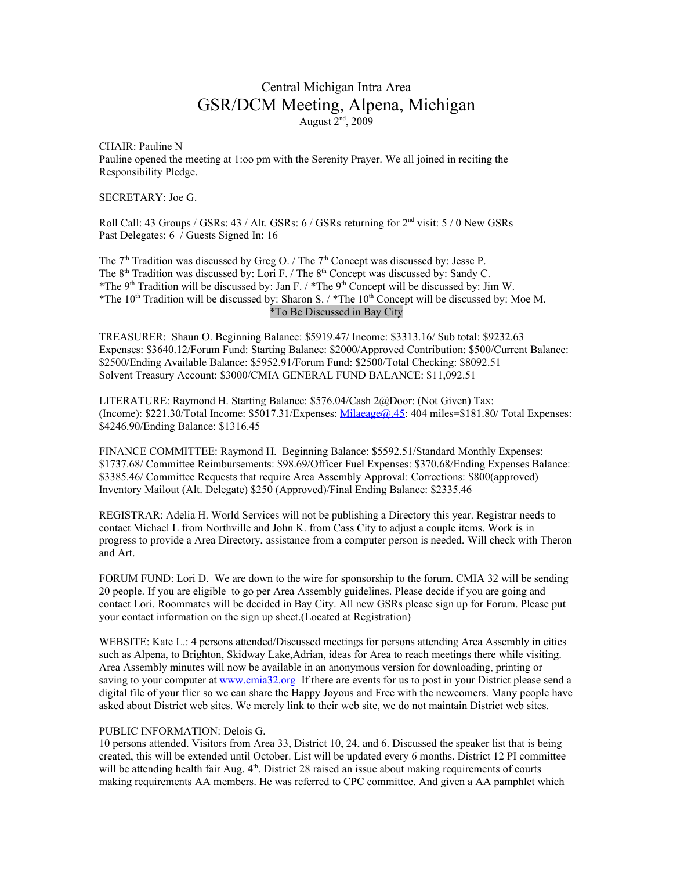## Central Michigan Intra Area GSR/DCM Meeting, Alpena, Michigan August  $2<sup>nd</sup>$ , 2009

CHAIR: Pauline N Pauline opened the meeting at 1:oo pm with the Serenity Prayer. We all joined in reciting the Responsibility Pledge.

SECRETARY: Joe G.

Roll Call: 43 Groups / GSRs: 43 / Alt. GSRs: 6 / GSRs returning for  $2<sup>nd</sup>$  visit: 5 / 0 New GSRs Past Delegates: 6 / Guests Signed In: 16

The  $7<sup>th</sup>$  Tradition was discussed by Greg O. / The  $7<sup>th</sup>$  Concept was discussed by: Jesse P. The  $8<sup>th</sup>$  Tradition was discussed by: Lori F. / The  $8<sup>th</sup>$  Concept was discussed by: Sandy C. \*The 9<sup>th</sup> Tradition will be discussed by: Jan F. / \*The 9<sup>th</sup> Concept will be discussed by: Jim W. \*The  $10<sup>th</sup>$  Tradition will be discussed by: Sharon S. / \*The  $10<sup>th</sup>$  Concept will be discussed by: Moe M. \*To Be Discussed in Bay City

TREASURER: Shaun O. Beginning Balance: \$5919.47/ Income: \$3313.16/ Sub total: \$9232.63 Expenses: \$3640.12/Forum Fund: Starting Balance: \$2000/Approved Contribution: \$500/Current Balance: \$2500/Ending Available Balance: \$5952.91/Forum Fund: \$2500/Total Checking: \$8092.51 Solvent Treasury Account: \$3000/CMIA GENERAL FUND BALANCE: \$11,092.51

LITERATURE: Raymond H. Starting Balance: \$576.04/Cash 2@Door: (Not Given) Tax: (Income): \$221.30/Total Income: \$5017.31/Expenses: [Milaeage@.45:](mailto:Milaeage@.45) 404 miles=\$181.80/ Total Expenses: \$4246.90/Ending Balance: \$1316.45

FINANCE COMMITTEE: Raymond H. Beginning Balance: \$5592.51/Standard Monthly Expenses: \$1737.68/ Committee Reimbursements: \$98.69/Officer Fuel Expenses: \$370.68/Ending Expenses Balance: \$3385.46/ Committee Requests that require Area Assembly Approval: Corrections: \$800(approved) Inventory Mailout (Alt. Delegate) \$250 (Approved)/Final Ending Balance: \$2335.46

REGISTRAR: Adelia H. World Services will not be publishing a Directory this year. Registrar needs to contact Michael L from Northville and John K. from Cass City to adjust a couple items. Work is in progress to provide a Area Directory, assistance from a computer person is needed. Will check with Theron and Art.

FORUM FUND: Lori D. We are down to the wire for sponsorship to the forum. CMIA 32 will be sending 20 people. If you are eligible to go per Area Assembly guidelines. Please decide if you are going and contact Lori. Roommates will be decided in Bay City. All new GSRs please sign up for Forum. Please put your contact information on the sign up sheet.(Located at Registration)

WEBSITE: Kate L.: 4 persons attended/Discussed meetings for persons attending Area Assembly in cities such as Alpena, to Brighton, Skidway Lake,Adrian, ideas for Area to reach meetings there while visiting. Area Assembly minutes will now be available in an anonymous version for downloading, printing or saving to your computer at [www.cmia32.org](http://www.are32.org/) If there are events for us to post in your District please send a digital file of your flier so we can share the Happy Joyous and Free with the newcomers. Many people have asked about District web sites. We merely link to their web site, we do not maintain District web sites.

## PUBLIC INFORMATION: Delois G.

10 persons attended. Visitors from Area 33, District 10, 24, and 6. Discussed the speaker list that is being created, this will be extended until October. List will be updated every 6 months. District 12 PI committee will be attending health fair Aug.  $4<sup>th</sup>$ . District 28 raised an issue about making requirements of courts making requirements AA members. He was referred to CPC committee. And given a AA pamphlet which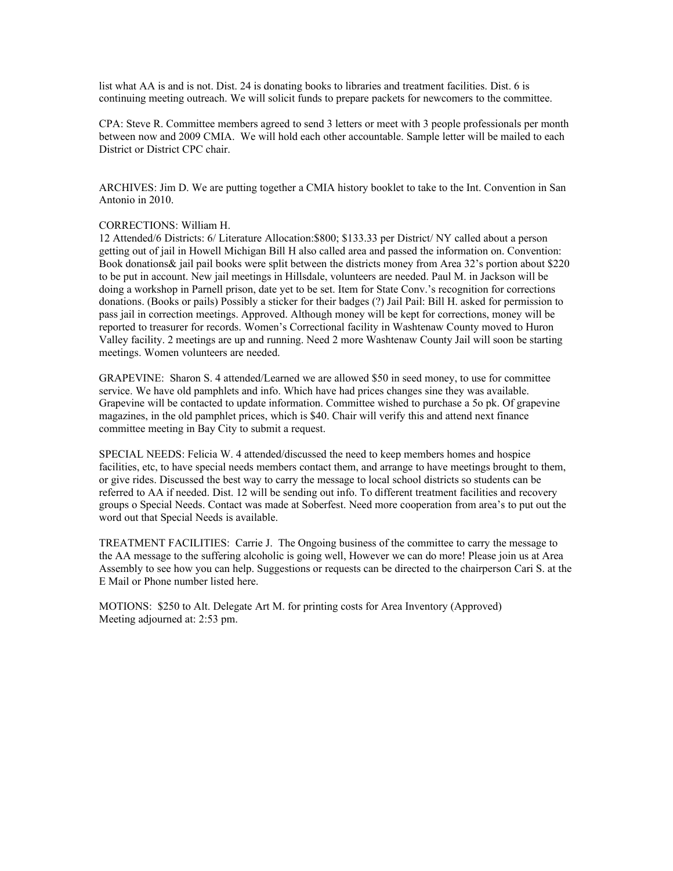list what AA is and is not. Dist. 24 is donating books to libraries and treatment facilities. Dist. 6 is continuing meeting outreach. We will solicit funds to prepare packets for newcomers to the committee.

CPA: Steve R. Committee members agreed to send 3 letters or meet with 3 people professionals per month between now and 2009 CMIA. We will hold each other accountable. Sample letter will be mailed to each District or District CPC chair.

ARCHIVES: Jim D. We are putting together a CMIA history booklet to take to the Int. Convention in San Antonio in 2010.

## CORRECTIONS: William H.

12 Attended/6 Districts: 6/ Literature Allocation:\$800; \$133.33 per District/ NY called about a person getting out of jail in Howell Michigan Bill H also called area and passed the information on. Convention: Book donations& jail pail books were split between the districts money from Area 32's portion about \$220 to be put in account. New jail meetings in Hillsdale, volunteers are needed. Paul M. in Jackson will be doing a workshop in Parnell prison, date yet to be set. Item for State Conv.'s recognition for corrections donations. (Books or pails) Possibly a sticker for their badges (?) Jail Pail: Bill H. asked for permission to pass jail in correction meetings. Approved. Although money will be kept for corrections, money will be reported to treasurer for records. Women's Correctional facility in Washtenaw County moved to Huron Valley facility. 2 meetings are up and running. Need 2 more Washtenaw County Jail will soon be starting meetings. Women volunteers are needed.

GRAPEVINE: Sharon S. 4 attended/Learned we are allowed \$50 in seed money, to use for committee service. We have old pamphlets and info. Which have had prices changes sine they was available. Grapevine will be contacted to update information. Committee wished to purchase a 5o pk. Of grapevine magazines, in the old pamphlet prices, which is \$40. Chair will verify this and attend next finance committee meeting in Bay City to submit a request.

SPECIAL NEEDS: Felicia W. 4 attended/discussed the need to keep members homes and hospice facilities, etc, to have special needs members contact them, and arrange to have meetings brought to them, or give rides. Discussed the best way to carry the message to local school districts so students can be referred to AA if needed. Dist. 12 will be sending out info. To different treatment facilities and recovery groups o Special Needs. Contact was made at Soberfest. Need more cooperation from area's to put out the word out that Special Needs is available.

TREATMENT FACILITIES: Carrie J. The Ongoing business of the committee to carry the message to the AA message to the suffering alcoholic is going well, However we can do more! Please join us at Area Assembly to see how you can help. Suggestions or requests can be directed to the chairperson Cari S. at the E Mail or Phone number listed here.

MOTIONS: \$250 to Alt. Delegate Art M. for printing costs for Area Inventory (Approved) Meeting adjourned at: 2:53 pm.